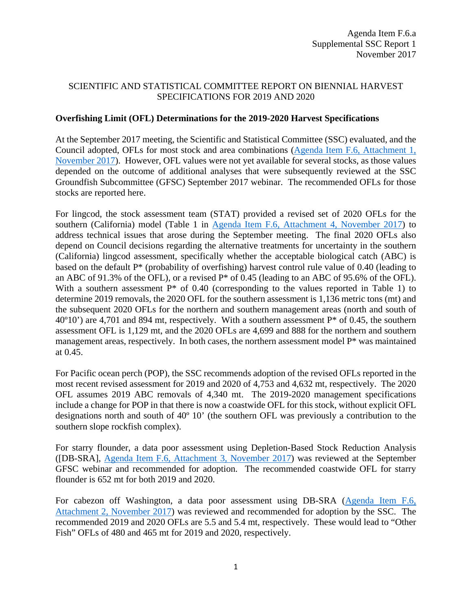## SCIENTIFIC AND STATISTICAL COMMITTEE REPORT ON BIENNIAL HARVEST SPECIFICATIONS FOR 2019 AND 2020

## **Overfishing Limit (OFL) Determinations for the 2019-2020 Harvest Specifications**

At the September 2017 meeting, the Scientific and Statistical Committee (SSC) evaluated, and the Council adopted, OFLs for most stock and area combinations [\(Agenda Item F.6, Attachment 1,](http://www.pcouncil.org/wp-content/uploads/2017/10/F6_Att1_2019-20HarvestSpex_NOV2017BB.pdf)  [November 2017\)](http://www.pcouncil.org/wp-content/uploads/2017/10/F6_Att1_2019-20HarvestSpex_NOV2017BB.pdf). However, OFL values were not yet available for several stocks, as those values depended on the outcome of additional analyses that were subsequently reviewed at the SSC Groundfish Subcommittee (GFSC) September 2017 webinar. The recommended OFLs for those stocks are reported here.

For lingcod, the stock assessment team (STAT) provided a revised set of 2020 OFLs for the southern (California) model (Table 1 in [Agenda Item F.6, Attachment 4, November 2017\)](http://www.pcouncil.org/wp-content/uploads/2017/10/F6_Att4_ExecSummary_2017Lingcod_Assessment_NOV2017BB.pdf) to address technical issues that arose during the September meeting. The final 2020 OFLs also depend on Council decisions regarding the alternative treatments for uncertainty in the southern (California) lingcod assessment, specifically whether the acceptable biological catch (ABC) is based on the default P\* (probability of overfishing) harvest control rule value of 0.40 (leading to an ABC of 91.3% of the OFL), or a revised  $P^*$  of 0.45 (leading to an ABC of 95.6% of the OFL). With a southern assessment P<sup>\*</sup> of 0.40 (corresponding to the values reported in Table 1) to determine 2019 removals, the 2020 OFL for the southern assessment is 1,136 metric tons (mt) and the subsequent 2020 OFLs for the northern and southern management areas (north and south of  $40^{\circ}10'$  are 4,701 and 894 mt, respectively. With a southern assessment P<sup>\*</sup> of 0.45, the southern assessment OFL is 1,129 mt, and the 2020 OFLs are 4,699 and 888 for the northern and southern management areas, respectively. In both cases, the northern assessment model  $P^*$  was maintained at 0.45.

For Pacific ocean perch (POP), the SSC recommends adoption of the revised OFLs reported in the most recent revised assessment for 2019 and 2020 of 4,753 and 4,632 mt, respectively. The 2020 OFL assumes 2019 ABC removals of 4,340 mt. The 2019-2020 management specifications include a change for POP in that there is now a coastwide OFL for this stock, without explicit OFL designations north and south of 40º 10' (the southern OFL was previously a contribution to the southern slope rockfish complex).

For starry flounder, a data poor assessment using Depletion-Based Stock Reduction Analysis ([DB-SRA], [Agenda Item F.6, Attachment 3, November 2017\)](http://www.pcouncil.org/wp-content/uploads/2017/10/F6_Att3_Starry_Flounder_DB-SRA_2017_CA-OR-WA-final_NOV2017BB.pdf) was reviewed at the September GFSC webinar and recommended for adoption. The recommended coastwide OFL for starry flounder is 652 mt for both 2019 and 2020.

For cabezon off Washington, a data poor assessment using DB-SRA [\(Agenda Item F.6,](http://www.pcouncil.org/wp-content/uploads/2017/10/F6_Att2_WA_Cab_DBSRA_NOV2017BB.pdf)  [Attachment 2, November 2017\)](http://www.pcouncil.org/wp-content/uploads/2017/10/F6_Att2_WA_Cab_DBSRA_NOV2017BB.pdf) was reviewed and recommended for adoption by the SSC. The recommended 2019 and 2020 OFLs are 5.5 and 5.4 mt, respectively. These would lead to "Other Fish" OFLs of 480 and 465 mt for 2019 and 2020, respectively.